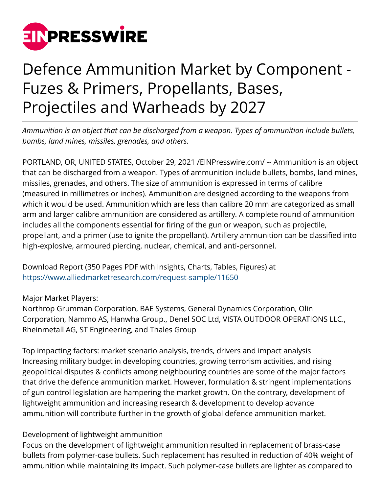

## Defence Ammunition Market by Component - Fuzes & Primers, Propellants, Bases, Projectiles and Warheads by 2027

*Ammunition is an object that can be discharged from a weapon. Types of ammunition include bullets, bombs, land mines, missiles, grenades, and others.* 

PORTLAND, OR, UNITED STATES, October 29, 2021 [/EINPresswire.com](http://www.einpresswire.com)/ -- Ammunition is an object that can be discharged from a weapon. Types of ammunition include bullets, bombs, land mines, missiles, grenades, and others. The size of ammunition is expressed in terms of calibre (measured in millimetres or inches). Ammunition are designed according to the weapons from which it would be used. Ammunition which are less than calibre 20 mm are categorized as small arm and larger calibre ammunition are considered as artillery. A complete round of ammunition includes all the components essential for firing of the gun or weapon, such as projectile, propellant, and a primer (use to ignite the propellant). Artillery ammunition can be classified into high-explosive, armoured piercing, nuclear, chemical, and anti-personnel.

Download Report (350 Pages PDF with Insights, Charts, Tables, Figures) at <https://www.alliedmarketresearch.com/request-sample/11650>

Major Market Players:

Northrop Grumman Corporation, BAE Systems, General Dynamics Corporation, Olin Corporation, Nammo AS, Hanwha Group., Denel SOC Ltd, VISTA OUTDOOR OPERATIONS LLC., Rheinmetall AG, ST Engineering, and Thales Group

Top impacting factors: market scenario analysis, trends, drivers and impact analysis Increasing military budget in developing countries, growing terrorism activities, and rising geopolitical disputes & conflicts among neighbouring countries are some of the major factors that drive the defence ammunition market. However, formulation & stringent implementations of gun control legislation are hampering the market growth. On the contrary, development of lightweight ammunition and increasing research & development to develop advance ammunition will contribute further in the growth of global defence ammunition market.

## Development of lightweight ammunition

Focus on the development of lightweight ammunition resulted in replacement of brass-case bullets from polymer-case bullets. Such replacement has resulted in reduction of 40% weight of ammunition while maintaining its impact. Such polymer-case bullets are lighter as compared to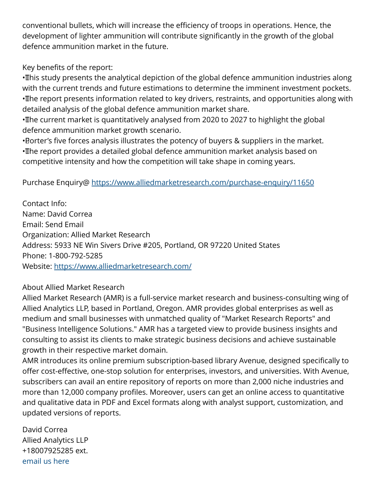conventional bullets, which will increase the efficiency of troops in operations. Hence, the development of lighter ammunition will contribute significantly in the growth of the global defence ammunition market in the future.

Key benefits of the report:

• This study presents the analytical depiction of the global defence ammunition industries along with the current trends and future estimations to determine the imminent investment pockets. • The report presents information related to key drivers, restraints, and opportunities along with detailed analysis of the global defence ammunition market share.

• The current market is quantitatively analysed from 2020 to 2027 to highlight the global defence ammunition market growth scenario.

• Borter's five forces analysis illustrates the potency of buyers & suppliers in the market. • The report provides a detailed global defence ammunition market analysis based on competitive intensity and how the competition will take shape in coming years.

Purchase Enquiry@<https://www.alliedmarketresearch.com/purchase-enquiry/11650>

Contact Info: Name: David Correa Email: Send Email Organization: Allied Market Research Address: 5933 NE Win Sivers Drive #205, Portland, OR 97220 United States Phone: 1-800-792-5285 Website: <https://www.alliedmarketresearch.com/>

## About Allied Market Research

Allied Market Research (AMR) is a full-service market research and business-consulting wing of Allied Analytics LLP, based in Portland, Oregon. AMR provides global enterprises as well as medium and small businesses with unmatched quality of "Market Research Reports" and "Business Intelligence Solutions." AMR has a targeted view to provide business insights and consulting to assist its clients to make strategic business decisions and achieve sustainable growth in their respective market domain.

AMR introduces its online premium subscription-based library Avenue, designed specifically to offer cost-effective, one-stop solution for enterprises, investors, and universities. With Avenue, subscribers can avail an entire repository of reports on more than 2,000 niche industries and more than 12,000 company profiles. Moreover, users can get an online access to quantitative and qualitative data in PDF and Excel formats along with analyst support, customization, and updated versions of reports.

David Correa Allied Analytics LLP +18007925285 ext. [email us here](http://www.einpresswire.com/contact_author/3188021)